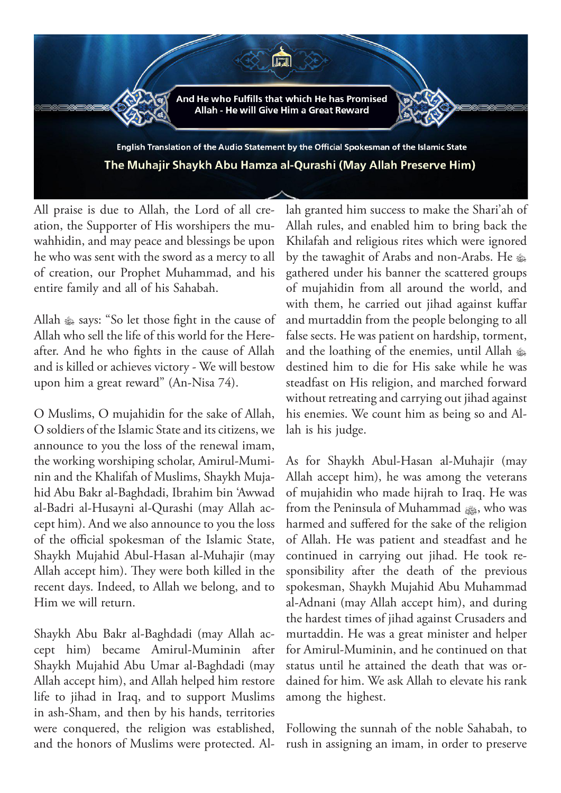

ation, the Supporter of His worshipers the mu-<br>wahhidin, and may peace and blessings be upon All praise is due to Allah, the Lord of all cre-<br>ation, the Supporter of His worshipers the mu-All praise is due to Allah, the Lord of all crehe who was sent with the sword as a mercy to all of creation, our Prophet Muhammad, and his entire family and all of his Sahabah.

Allah  $*$  says: "So let those fight in the cause of after. And he who fights in the cause of Allah Allah who sell the life of this world for the Hereand is killed or achieves victory - We will bestow upon him a great reward" (An-Nisa 74).

O Muslims, O mujahidin for the sake of Allah, O soldiers of the Islamic State and its citizens, we announce to you the loss of the renewal imam, hid Abu Bakr al-Baghdadi, Ibrahim bin 'Awwad nin and the Khalifah of Muslims, Shaykh Mujathe working worshiping scholar, Amirul-Mumicept him). And we also announce to you the loss al-Badri al-Husayni al-Qurashi (may Allah acof the official spokesman of the Islamic State, Shaykh Mujahid Abul-Hasan al-Muhajir (may Allah accept him). They were both killed in the recent days. Indeed, to Allah we belong, and to Him we will return.

cept him) became Amirul-Muminin after Shaykh Abu Bakr al-Baghdadi (may Allah ac-Shaykh Mujahid Abu Umar al-Baghdadi (may Allah accept him), and Allah helped him restore life to jihad in Iraq, and to support Muslims in ash-Sham, and then by his hands, territories were conquered, the religion was established, and the honors of Muslims were protected. Al-

Allah rules, and enabled him to bring back the Khilafah and religious rites which were ignored by the tawaghit of Arabs and non-Arabs. He gathered under his banner the scattered groups of mujahidin from all around the world, and with them, he carried out jihad against kuffar and murtaddin from the people belonging to all false sects. He was patient on hardship, torment, and the loathing of the enemies, until Allah  $\triangle$ destined him to die for His sake while he was steadfast on His religion, and marched forward without retreating and carrying out jihad against his enemies. We count him as being so and Al-<br>lah is his judge.

- lah granted him success to make the Shari'ah of<br>- Allah rules, and enabled him to bring back the<br>1 Nhilafah and religious rites which were ignored<br>I by the tawaghit of Arabs and non-Arabs. He  $\hat{\ast}$ <br>s gathered under his As for Shaykh Abul-Hasan al-Muhajir (may Allah accept him), he was among the veterans of mujahidin who made hijrah to Iraq. He was from the Peninsula of Muhammad <sub>is</sub>, who was harmed and suffered for the sake of the religion of Allah. He was patient and steadfast and he sponsibility after the death of the previous continued in carrying out jihad. He took respokesman, Shaykh Mujahid Abu Muhammad al-Adnani (may Allah accept him), and during the hardest times of jihad against Crusaders and murtaddin. He was a great minister and helper for Amirul-Muminin, and he continued on that dained for him. We ask Allah to elevate his rank status until he attained the death that was oramong the highest.

Following the sunnah of the noble Sahabah, to rush in assigning an imam, in order to preserve